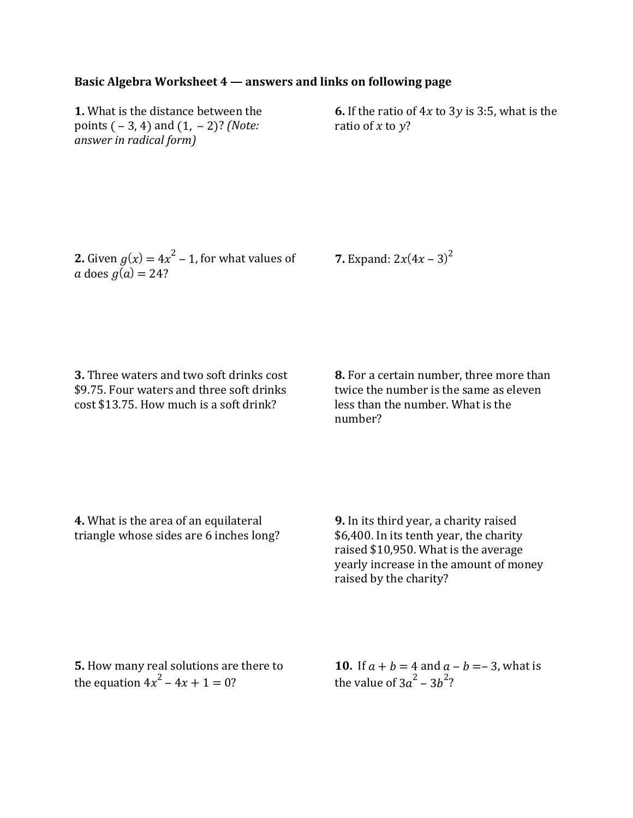## **Basic Algebra Worksheet 4 — answers and links on following page**

**1.** What is the distance between the points ( – 3, 4) and (1, – 2)? *(Note: answer in radical form)*

**6.** If the ratio of  $4x$  to  $3y$  is 3:5, what is the ratio of  $x$  to  $y$ ?

**2.** Given  $g(x) = 4x^2 - 1$ , for what values of a does  $q(a) = 24$ ?

**7.** Expand:  $2x(4x - 3)^2$ 

**3.** Three waters and two soft drinks cost \$9.75. Four waters and three soft drinks cost \$13.75. How much is a soft drink?

**8.** For a certain number, three more than twice the number is the same as eleven less than the number. What is the number?

**4.** What is the area of an equilateral triangle whose sides are 6 inches long?

**9.** In its third year, a charity raised \$6,400. In its tenth year, the charity raised \$10,950. What is the average yearly increase in the amount of money raised by the charity?

**5.** How many real solutions are there to the equation  $4x^2 - 4x + 1 = 0$ ?

**10.** If  $a + b = 4$  and  $a - b = -3$ , what is the value of 3 $a^2$  – 3 $b^2$ ?